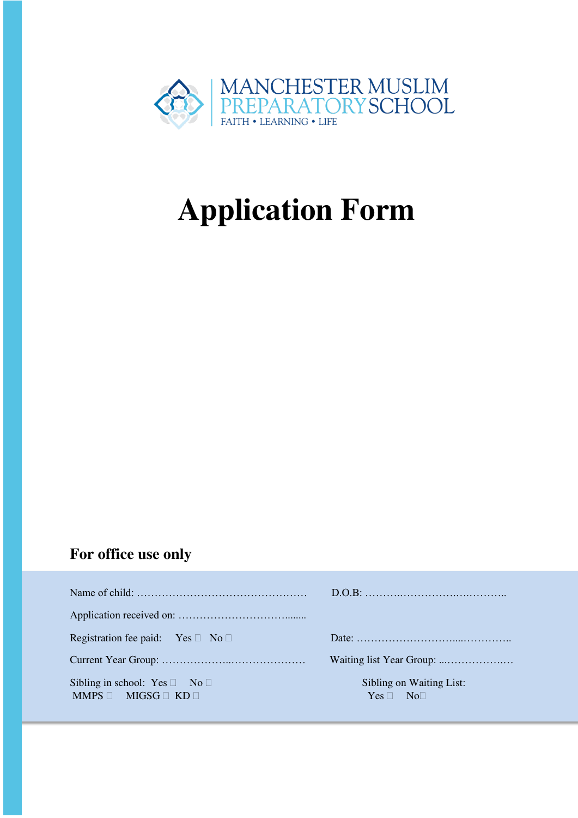

# **Application Form**

### **For office use only**

| Registration fee paid: Yes $\Box$ No $\Box$                               |                                                |
|---------------------------------------------------------------------------|------------------------------------------------|
|                                                                           |                                                |
| Sibling in school: Yes $\Box$ No $\Box$<br>$MMPS \Box MIGSG \Box KD \Box$ | Sibling on Waiting List:<br>$Yes \Box No \Box$ |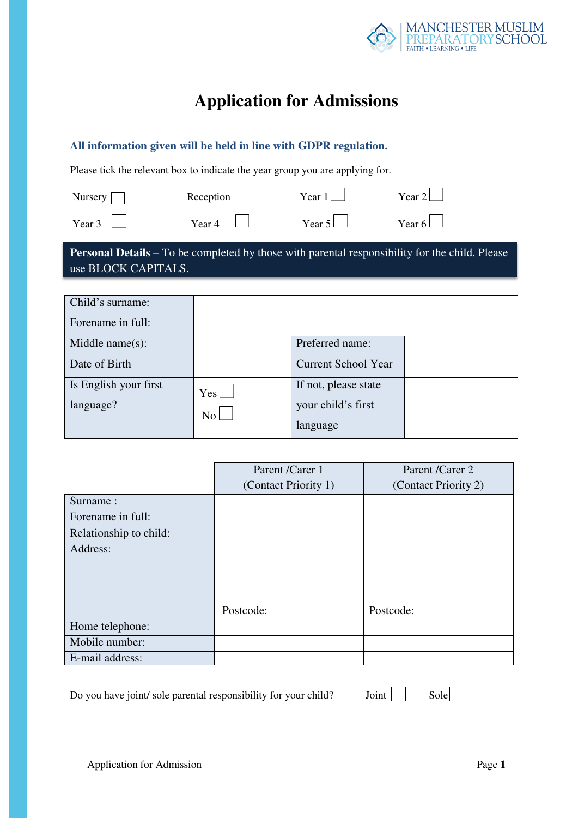

## **Application for Admissions**

#### **All information given will be held in line with GDPR regulation.**

Please tick the relevant box to indicate the year group you are applying for.

| Nursery $\Box$ | Reception      | Year $1$ | Year $2$      |
|----------------|----------------|----------|---------------|
| Year $3$       | Year 4 $\perp$ | Year 5   | Year 6 $\Box$ |

**Personal Details –** To be completed by those with parental responsibility for the child. Please use BLOCK CAPITALS.

| Child's surname:                   |             |                                                        |  |
|------------------------------------|-------------|--------------------------------------------------------|--|
| Forename in full:                  |             |                                                        |  |
| Middle name $(s)$ :                |             | Preferred name:                                        |  |
| Date of Birth                      |             | <b>Current School Year</b>                             |  |
| Is English your first<br>language? | Yes l<br>No | If not, please state<br>your child's first<br>language |  |

|                        | Parent /Carer 1      | Parent /Carer 2      |
|------------------------|----------------------|----------------------|
|                        | (Contact Priority 1) | (Contact Priority 2) |
| Surname:               |                      |                      |
| Forename in full:      |                      |                      |
| Relationship to child: |                      |                      |
| Address:               | Postcode:            | Postcode:            |
|                        |                      |                      |
| Home telephone:        |                      |                      |
| Mobile number:         |                      |                      |
| E-mail address:        |                      |                      |

Do you have joint/ sole parental responsibility for your child? Joint  $\Box$  Sole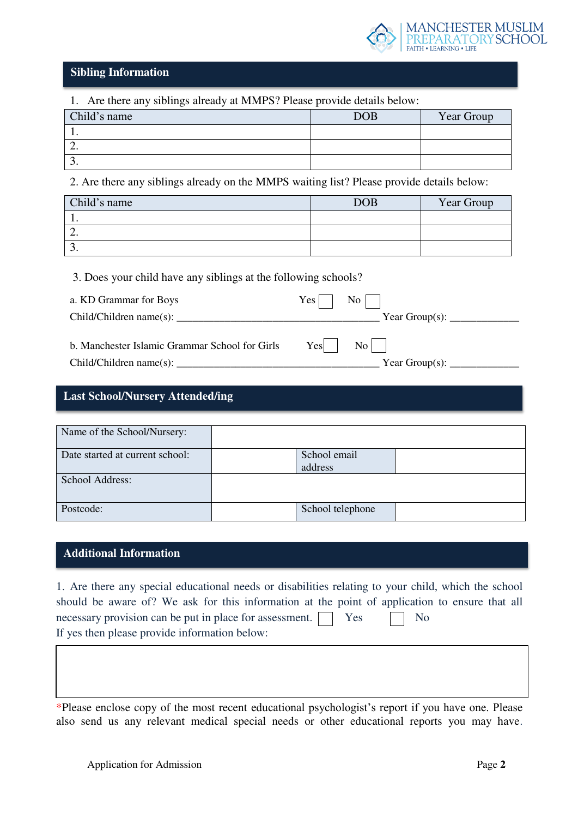

#### **Sibling Information**

| 1. Are there any siblings already at MMPS? Please provide details below: |            |            |  |  |
|--------------------------------------------------------------------------|------------|------------|--|--|
| Child's name                                                             | <b>DOB</b> | Year Group |  |  |
|                                                                          |            |            |  |  |
|                                                                          |            |            |  |  |
|                                                                          |            |            |  |  |

2. Are there any siblings already on the MMPS waiting list? Please provide details below:

| Child's name | DOB | Year Group |
|--------------|-----|------------|
|              |     |            |
| <u>.</u>     |     |            |
|              |     |            |

3. Does your child have any siblings at the following schools?

| a. KD Grammar for Boys                                                    | $Yes \mid \mid No \mid$                                   |
|---------------------------------------------------------------------------|-----------------------------------------------------------|
| $Child/Children name(s)$ :                                                | Year Group(s): $\_\_\_\_\_\_\_\_\_\_\_\_\_\_\_\_\_\_\_\_$ |
| b. Manchester Islamic Grammar School for Girls<br>Child/Children name(s): | $Yes$  <br>$\mathrm{No}$  <br>Year Group(s):              |

#### **Last School/Nursery Attended/ing**

| Name of the School/Nursery:     |         |                  |  |
|---------------------------------|---------|------------------|--|
| Date started at current school: | address | School email     |  |
| School Address:                 |         |                  |  |
| Postcode:                       |         | School telephone |  |

#### **Additional Information**

.

1. Are there any special educational needs or disabilities relating to your child, which the school should be aware of? We ask for this information at the point of application to ensure that all necessary provision can be put in place for assessment.  $\Box$  Yes  $\Box$  No If yes then please provide information below:

\*Please enclose copy of the most recent educational psychologist's report if you have one. Please also send us any relevant medical special needs or other educational reports you may have.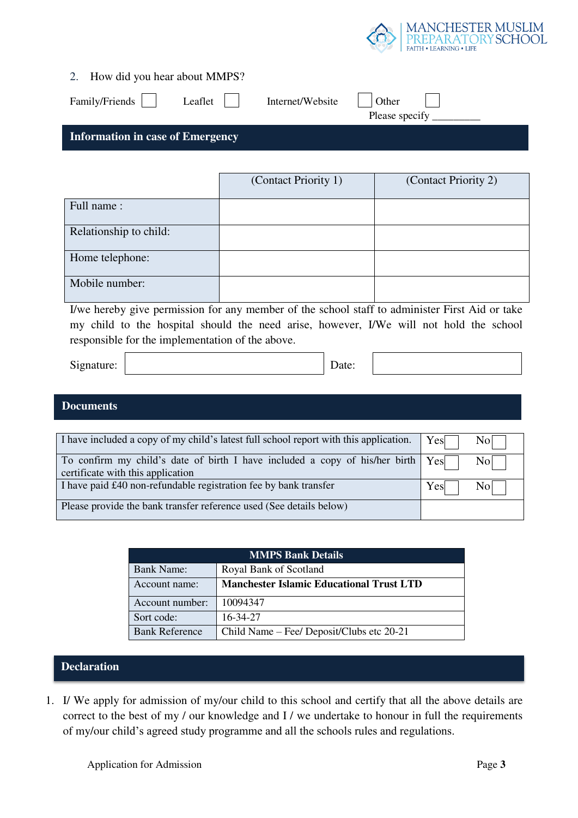

| 2. |  |  | How did you hear about MMPS? |
|----|--|--|------------------------------|
|    |  |  |                              |

| Family/Friends                          | Leaflet | Internet/Website | Other<br>Please specify |
|-----------------------------------------|---------|------------------|-------------------------|
| <b>Information in case of Emergency</b> |         |                  |                         |

|                        | (Contact Priority 1) | (Contact Priority 2) |
|------------------------|----------------------|----------------------|
| Full name:             |                      |                      |
| Relationship to child: |                      |                      |
| Home telephone:        |                      |                      |
| Mobile number:         |                      |                      |

I/we hereby give permission for any member of the school staff to administer First Aid or take my child to the hospital should the need arise, however, I/We will not hold the school responsible for the implementation of the above.

| Signature: | Date: |  |
|------------|-------|--|
|------------|-------|--|

#### **Documents**

| I have included a copy of my child's latest full school report with this application.                                     | Yes<br>Nol 1  |
|---------------------------------------------------------------------------------------------------------------------------|---------------|
| To confirm my child's date of birth I have included a copy of his/her birth $Yes$ No<br>certificate with this application |               |
| I have paid £40 non-refundable registration fee by bank transfer                                                          | $Yes$  <br>No |
| Please provide the bank transfer reference used (See details below)                                                       |               |

| <b>MMPS Bank Details</b> |                                                 |  |  |  |
|--------------------------|-------------------------------------------------|--|--|--|
| <b>Bank Name:</b>        | Royal Bank of Scotland                          |  |  |  |
| Account name:            | <b>Manchester Islamic Educational Trust LTD</b> |  |  |  |
| Account number:          | 10094347                                        |  |  |  |
| Sort code:               | 16-34-27                                        |  |  |  |
| <b>Bank Reference</b>    | Child Name – Fee/ Deposit/Clubs etc 20-21       |  |  |  |

#### **Declaration**

1. I/ We apply for admission of my/our child to this school and certify that all the above details are correct to the best of my / our knowledge and I / we undertake to honour in full the requirements of my/our child's agreed study programme and all the schools rules and regulations.